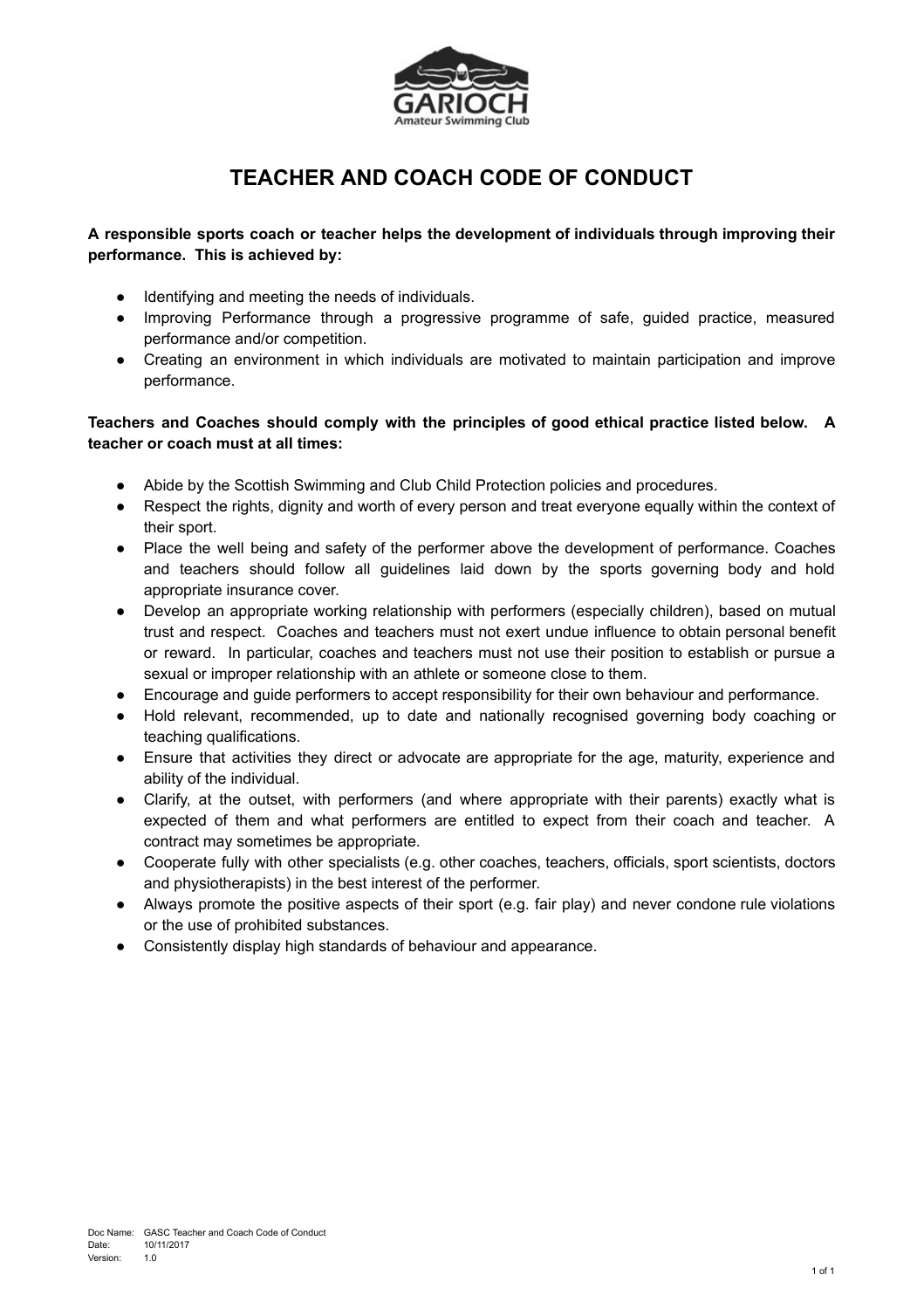

## **TEACHER AND COACH CODE OF CONDUCT**

## **A responsible sports coach or teacher helps the development of individuals through improving their performance. This is achieved by:**

- Identifying and meeting the needs of individuals.
- Improving Performance through a progressive programme of safe, guided practice, measured performance and/or competition.
- Creating an environment in which individuals are motivated to maintain participation and improve performance.

## **Teachers and Coaches should comply with the principles of good ethical practice listed below. A teacher or coach must at all times:**

- Abide by the Scottish Swimming and Club Child Protection policies and procedures.
- Respect the rights, dignity and worth of every person and treat everyone equally within the context of their sport.
- Place the well being and safety of the performer above the development of performance. Coaches and teachers should follow all guidelines laid down by the sports governing body and hold appropriate insurance cover.
- Develop an appropriate working relationship with performers (especially children), based on mutual trust and respect. Coaches and teachers must not exert undue influence to obtain personal benefit or reward. In particular, coaches and teachers must not use their position to establish or pursue a sexual or improper relationship with an athlete or someone close to them.
- Encourage and guide performers to accept responsibility for their own behaviour and performance.
- Hold relevant, recommended, up to date and nationally recognised governing body coaching or teaching qualifications.
- Ensure that activities they direct or advocate are appropriate for the age, maturity, experience and ability of the individual.
- Clarify, at the outset, with performers (and where appropriate with their parents) exactly what is expected of them and what performers are entitled to expect from their coach and teacher. A contract may sometimes be appropriate.
- Cooperate fully with other specialists (e.g. other coaches, teachers, officials, sport scientists, doctors and physiotherapists) in the best interest of the performer.
- Always promote the positive aspects of their sport (e.g. fair play) and never condone rule violations or the use of prohibited substances.
- Consistently display high standards of behaviour and appearance.